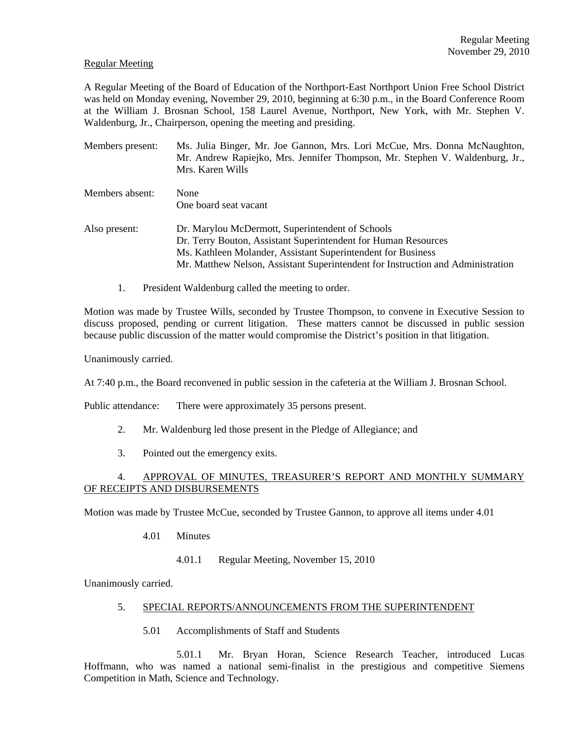### Regular Meeting

A Regular Meeting of the Board of Education of the Northport-East Northport Union Free School District was held on Monday evening, November 29, 2010, beginning at 6:30 p.m., in the Board Conference Room at the William J. Brosnan School, 158 Laurel Avenue, Northport, New York, with Mr. Stephen V. Waldenburg, Jr., Chairperson, opening the meeting and presiding.

| Members present: | Ms. Julia Binger, Mr. Joe Gannon, Mrs. Lori McCue, Mrs. Donna McNaughton,<br>Mr. Andrew Rapiejko, Mrs. Jennifer Thompson, Mr. Stephen V. Waldenburg, Jr.,<br>Mrs. Karen Wills                                                                                         |
|------------------|-----------------------------------------------------------------------------------------------------------------------------------------------------------------------------------------------------------------------------------------------------------------------|
| Members absent:  | None<br>One board seat vacant                                                                                                                                                                                                                                         |
| Also present:    | Dr. Marylou McDermott, Superintendent of Schools<br>Dr. Terry Bouton, Assistant Superintendent for Human Resources<br>Ms. Kathleen Molander, Assistant Superintendent for Business<br>Mr. Matthew Nelson, Assistant Superintendent for Instruction and Administration |

1. President Waldenburg called the meeting to order.

Motion was made by Trustee Wills, seconded by Trustee Thompson, to convene in Executive Session to discuss proposed, pending or current litigation. These matters cannot be discussed in public session because public discussion of the matter would compromise the District's position in that litigation.

Unanimously carried.

At 7:40 p.m., the Board reconvened in public session in the cafeteria at the William J. Brosnan School.

Public attendance: There were approximately 35 persons present.

- 2. Mr. Waldenburg led those present in the Pledge of Allegiance; and
- 3. Pointed out the emergency exits.

# 4. APPROVAL OF MINUTES, TREASURER'S REPORT AND MONTHLY SUMMARY OF RECEIPTS AND DISBURSEMENTS

Motion was made by Trustee McCue, seconded by Trustee Gannon, to approve all items under 4.01

- 4.01 Minutes
	- 4.01.1 Regular Meeting, November 15, 2010

Unanimously carried.

### 5. SPECIAL REPORTS/ANNOUNCEMENTS FROM THE SUPERINTENDENT

5.01 Accomplishments of Staff and Students

 5.01.1 Mr. Bryan Horan, Science Research Teacher, introduced Lucas Hoffmann, who was named a national semi-finalist in the prestigious and competitive Siemens Competition in Math, Science and Technology.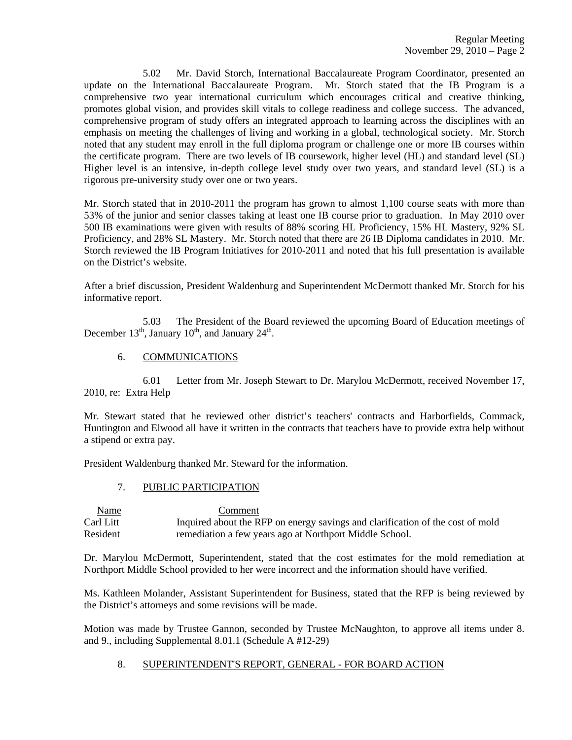5.02 Mr. David Storch, International Baccalaureate Program Coordinator, presented an update on the International Baccalaureate Program. Mr. Storch stated that the IB Program is a comprehensive two year international curriculum which encourages critical and creative thinking, promotes global vision, and provides skill vitals to college readiness and college success. The advanced, comprehensive program of study offers an integrated approach to learning across the disciplines with an emphasis on meeting the challenges of living and working in a global, technological society. Mr. Storch noted that any student may enroll in the full diploma program or challenge one or more IB courses within the certificate program. There are two levels of IB coursework, higher level (HL) and standard level (SL) Higher level is an intensive, in-depth college level study over two years, and standard level (SL) is a rigorous pre-university study over one or two years.

Mr. Storch stated that in 2010-2011 the program has grown to almost 1,100 course seats with more than 53% of the junior and senior classes taking at least one IB course prior to graduation. In May 2010 over 500 IB examinations were given with results of 88% scoring HL Proficiency, 15% HL Mastery, 92% SL Proficiency, and 28% SL Mastery. Mr. Storch noted that there are 26 IB Diploma candidates in 2010. Mr. Storch reviewed the IB Program Initiatives for 2010-2011 and noted that his full presentation is available on the District's website.

After a brief discussion, President Waldenburg and Superintendent McDermott thanked Mr. Storch for his informative report.

 5.03 The President of the Board reviewed the upcoming Board of Education meetings of December  $13<sup>th</sup>$ , January  $10<sup>th</sup>$ , and January  $24<sup>th</sup>$ .

6. COMMUNICATIONS

 6.01 Letter from Mr. Joseph Stewart to Dr. Marylou McDermott, received November 17, 2010, re: Extra Help

Mr. Stewart stated that he reviewed other district's teachers' contracts and Harborfields, Commack, Huntington and Elwood all have it written in the contracts that teachers have to provide extra help without a stipend or extra pay.

President Waldenburg thanked Mr. Steward for the information.

#### 7. PUBLIC PARTICIPATION

 Name Comment Carl Litt Inquired about the RFP on energy savings and clarification of the cost of mold Resident remediation a few years ago at Northport Middle School.

Dr. Marylou McDermott, Superintendent, stated that the cost estimates for the mold remediation at Northport Middle School provided to her were incorrect and the information should have verified.

Ms. Kathleen Molander, Assistant Superintendent for Business, stated that the RFP is being reviewed by the District's attorneys and some revisions will be made.

Motion was made by Trustee Gannon, seconded by Trustee McNaughton, to approve all items under 8. and 9., including Supplemental 8.01.1 (Schedule A #12-29)

## 8. SUPERINTENDENT'S REPORT, GENERAL - FOR BOARD ACTION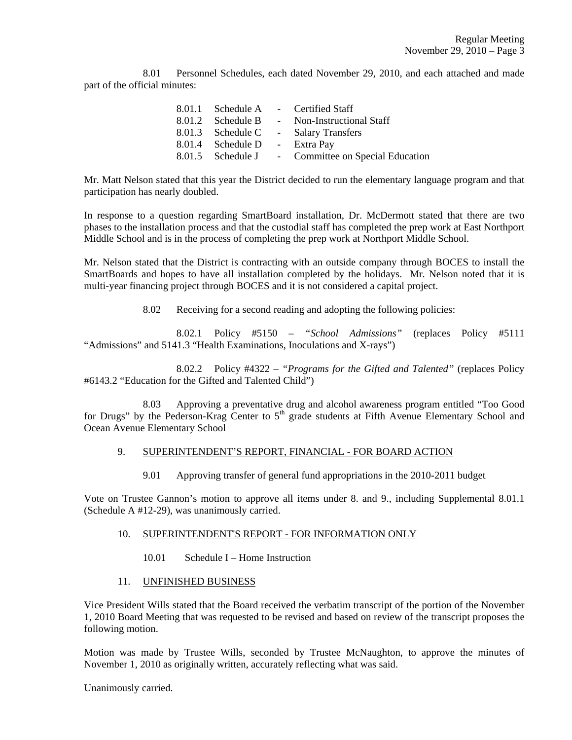8.01 Personnel Schedules, each dated November 29, 2010, and each attached and made part of the official minutes:

|                               | 8.01.1 Schedule A - Certified Staff                |
|-------------------------------|----------------------------------------------------|
| 8.01.2 Schedule B             | - Non-Instructional Staff                          |
| 8.01.3 Schedule C             | - Salary Transfers                                 |
| 8.01.4 Schedule D - Extra Pay |                                                    |
|                               | 8.01.5 Schedule J - Committee on Special Education |

Mr. Matt Nelson stated that this year the District decided to run the elementary language program and that participation has nearly doubled.

In response to a question regarding SmartBoard installation, Dr. McDermott stated that there are two phases to the installation process and that the custodial staff has completed the prep work at East Northport Middle School and is in the process of completing the prep work at Northport Middle School.

Mr. Nelson stated that the District is contracting with an outside company through BOCES to install the SmartBoards and hopes to have all installation completed by the holidays. Mr. Nelson noted that it is multi-year financing project through BOCES and it is not considered a capital project.

8.02 Receiving for a second reading and adopting the following policies:

 8.02.1 Policy #5150 – *"School Admissions"* (replaces Policy #5111 "Admissions" and 5141.3 "Health Examinations, Inoculations and X-rays")

 8.02.2 Policy #4322 – *"Programs for the Gifted and Talented"* (replaces Policy #6143.2 "Education for the Gifted and Talented Child")

 8.03 Approving a preventative drug and alcohol awareness program entitled "Too Good for Drugs" by the Pederson-Krag Center to  $5<sup>th</sup>$  grade students at Fifth Avenue Elementary School and Ocean Avenue Elementary School

#### 9. SUPERINTENDENT'S REPORT, FINANCIAL - FOR BOARD ACTION

9.01 Approving transfer of general fund appropriations in the 2010-2011 budget

Vote on Trustee Gannon's motion to approve all items under 8. and 9., including Supplemental 8.01.1 (Schedule A #12-29), was unanimously carried.

### 10. SUPERINTENDENT'S REPORT - FOR INFORMATION ONLY

10.01 Schedule I – Home Instruction

#### 11. UNFINISHED BUSINESS

Vice President Wills stated that the Board received the verbatim transcript of the portion of the November 1, 2010 Board Meeting that was requested to be revised and based on review of the transcript proposes the following motion.

Motion was made by Trustee Wills, seconded by Trustee McNaughton, to approve the minutes of November 1, 2010 as originally written, accurately reflecting what was said.

Unanimously carried.